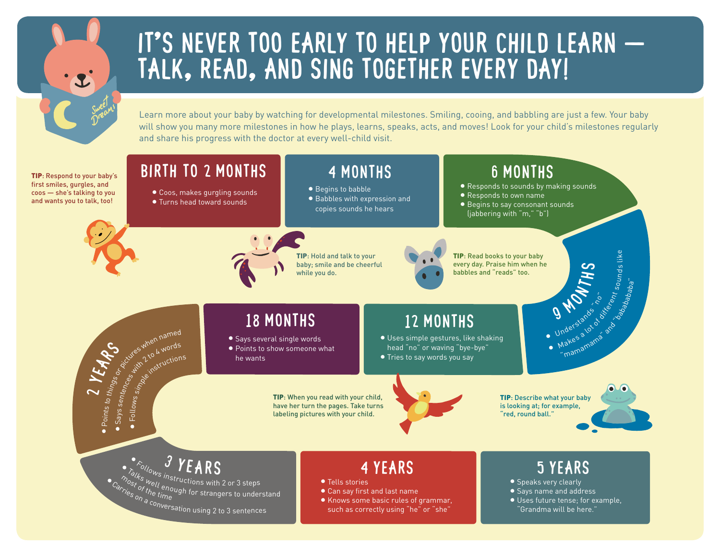